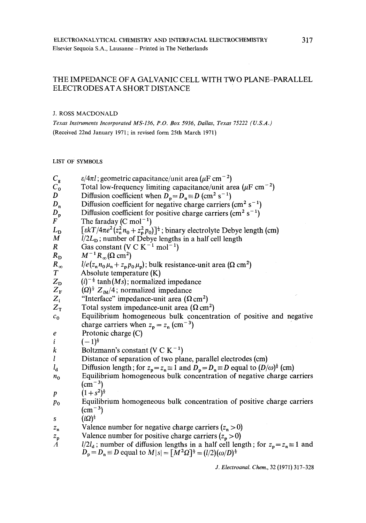# THE IMPEDANCE OF A GALVANIC CELL WITH TWO PLANE-PARALLEL ELECTRODES AT A SHORT DISTANCE

### J. ROSS MACDONALD

*Texas Instruments Incorporated MS-136, P.O. Box 5936, Dallas, Texas 75222 (U.S.A.)*  (Received 22nd January 1971; in revised form 25th March 1971)

LIST OF SYMBOLS

 $C_{\rm g}$  $C_0$ D  $D_n$  $D_n$ F  $L_{\rm D}$ M **R**   $R_{\rm D}$  $R_{\infty}$  $\boldsymbol{T}$  $Z_{\rm D}$  $Z_{\rm F}$  $Z_i$  $Z_{\rm T}$  $c_0$ e i k **l**   $l_d$  $n<sub>0</sub>$ **P**  Po *s Zn Zp A*   $\varepsilon/4\pi l$ ; geometric capacitance/unit area ( $\mu$ F cm<sup>-2</sup>) Total low-frequency limiting capacitance/unit area ( $\mu$ F cm<sup>-2</sup>) Diffusion coefficient when  $D_p = D_n \equiv D \text{ (cm}^2 \text{ s}^{-1})$ Diffusion coefficient for negative charge carriers (cm<sup>2</sup> s<sup>-1</sup>) Diffusion coefficient for positive charge carriers  $\text{cm}^2 \text{ s}^{-1}$ ) The faraday  $(C \text{ mol}^{-1})$  $[\varepsilon kT/4\pi e^2 (z_n^2 n_0 + z_p^2 p_0)]^{\frac{1}{2}}$ ; binary electrolyte Debye length (cm)  $\overline{l}/2L_D$ ; number of Debye lengths in a half cell length Gas constant (V C  $K^{-1}$  mol<sup>-1</sup>)  $M^{-1} R_{\infty} (\Omega \text{ cm}^2)$  $1/e (z_n n_0 \mu_n + z_p p_0 \mu_p)$ ; bulk resistance-unit area ( $\Omega$  cm<sup>2</sup>) Absolute temperature (K)  $(i)^{-\frac{1}{2}}$  tanh *(Ms)*; normalized impedance  $(Q)^{\frac{1}{2}} Z_{\text{iM}}/4$ ; normalized impedance "Interface" impedance-unit area  $(\Omega \text{ cm}^2)$ Total system impedance-unit area  $(\Omega \text{ cm}^2)$ Equilibrium homogeneous bulk concentration of positive and negative charge carriers when  $z_p = z_n$  (cm<sup>-3</sup>) Protonic charge (C)  $(-1)^{\frac{1}{2}}$ Boltzmann's constant (V C  $K^{-1}$ ) Distance of separation of two plane, parallel electrodes (cm) Diffusion length; for  $z_p = z_n \equiv 1$  and  $D_p = D_n \equiv D$  equal to  $(D/\omega)^{\frac{1}{2}}$  (cm) Equilibrium homogeneous bulk concentration of negative charge carriers  $\rm (cm^{-3})$  $(1+s^2)^{\frac{1}{2}}$ Equilibrium homogeneous bulk concentration of positive charge carriers  $\rm (cm^{-3})$  $(i\Omega)^{\frac{1}{2}}$ Valence number for negative charge carriers  $(z_n > 0)$ Valence number for positive charge carriers  $(z_p > 0)$  $l/2l_d$ ; number of diffusion lengths in a half cell length; for  $z_p = z_n \equiv 1$  and  $D_p = D_n \equiv D$  equal to  $M|s| = [M^2 \Omega]^{\frac{1}{2}} = (l/2)(\omega/D)^{\frac{1}{2}}$ *J. Electroanal. Chem.,* 32 (1971) 317-328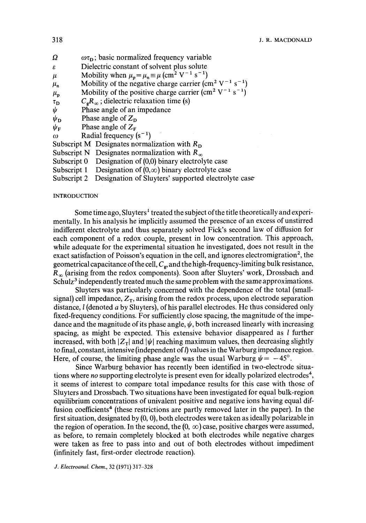| Ω |  |  | $\omega\tau_{\rm D}$ ; basic normalized frequency variable |  |
|---|--|--|------------------------------------------------------------|--|
|   |  |  |                                                            |  |

- Dielectric constant of solvent plus solute ε
- Mobility when  $\mu_n = \mu_n \equiv \mu$  (cm<sup>2</sup> V<sup>-1</sup> s<sup>-1</sup>)  $\mu$

 $\mu_{\rm n}$ Mobility of the negative charge carrier (cm<sup>2</sup> V<sup>-1</sup> s<sup>-1</sup>)

 $\mu_{p}$ Mobility of the positive charge carrier (cm<sup>2</sup> V<sup>-1</sup> s<sup>-1</sup>)

- $\tau_D$  $C_{\mathbf{g}}R_{\infty}$ ; dielectric relaxation time (s)
- $\frac{\psi}{\psi_{\mathbf{D}}}$ Phase angle of an impedance
- Phase angle of  $Z_{n}$
- Phase angle of  $Z_F$  $\psi_{\rm F}$
- $\omega$ Radial frequency  $(s^{-1})$

Subscript M Designates normalization with *Ro* 

- Subscript N Designates normalization with  $R_{\infty}$
- Subscript  $0$  Designation of  $(0,0)$  binary electrolyte case
- Subscript 1 Designation of  $(0, \infty)$  binary electrolyte case
- Subscript 2 Designation of Sluyters' supported electrolyte case

### INTRODUCTION

Some time ago, Sluyters<sup>1</sup> treated the subject of the title theoretically and experimentally. In his analysis he implicitly assumed the presence of an excess of unstirred indifferent electrolyte and thus separately solved Fick's second law of diffusion for each component of a redox couple, present in low concentration. This approach, while adequate for the experimental situation he investigated, does not result in the exact satisfaction of Poisson's equation in the cell, and ignores electromigration<sup>2</sup>, the geometrical capacitance of the cell,  $C_{\rm g}$ , and the high-frequency-limiting bulk resistance,  $R_{\infty}$  (arising from the redox components). Soon after Sluyters' work, Drossbach and Schulz<sup>3</sup> independently treated much the same problem with the same approximations.

Sluyters was particularly concerned with the dependence of the total (smallsignal) cell impedance,  $Z_T$ , arising from the redox process, upon electrode separation distance,  $l$  (denoted a by Sluyters), of his parallel electrodes. He thus considered only fixed-frequency conditions. For sufficiently close spacing, the magnitude of the impedance and the magnitude of its phase angle,  $\psi$ , both increased linearly with increasing spacing, as might be expected. This extensive behavior disappeared as  $l$  further increased, with both  $|Z_T|$  and  $|\psi|$  reaching maximum values, then decreasing slightly to final, constant, intensive (independent of  $l$ ) values in the Warburg impedance region. Here, of course, the limiting phase angle was the usual Warburg  $\psi = -45^{\circ}$ .

Since Warburg behavior has recently been identified in two-electrode situations where *no* supporting electrolyte is present even for ideally polarized electrodes<sup>4</sup>, it seems of interest to compare total impedance results for this case with those of Sluyters and Drossbach. Two situations have been investigated for equal bulk-region equilibrium concentrations of univalent positive and negative ions having equal diffusion coefficients<sup>4</sup> (these restrictions are partly removed later in the paper). In the first situation, designated by (0, 0), both electrodes were taken as ideally polarizable in the region of operation. In the second, the  $(0, \infty)$  case, positive charges were assumed, as before, to remain completely blocked at both electrodes while negative charges were taken as free to pass into and out of both electrodes without impediment (infinitely fast, first-order electrode reaction).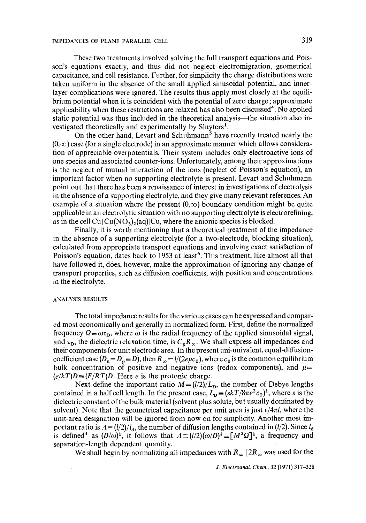These two treatments involved solving the full transport equations and Poisson's equations exactly, and thus did not neglect electromigration, geometrical capacitance, and cell resistance. Further, for simplicity the charge distributions were taken uniform in the absence of the small applied sinusoidal potential, and innerlayer complications were ignored. The results thus apply most closely at the equilibrium potential when it is coincident with the potential of zero charge ; approximate applicability when these restrictions are relaxed has also been discussed<sup>4</sup>. No applied static potential was thus included in the theoretical analysis—the situation also investigated theoretically and experimentally by Sluyters<sup>1</sup>.

On the other hand, Levart and Schuhmann<sup>5</sup> have recently treated nearly the  $(0,\infty)$  case (for a single electrode) in an approximate manner which allows consideration of appreciable overpotentials. Their system includes only electroactive ions of one species and associated counter-ions. Unfortunately, among their approximations is the neglect of mutual interaction of the ions (neglect of Poisson's equation), an important factor when no supporting electrolyte is present. Levart and Schuhmann point out that there has been a renaissance of interest in investigations of electrolysis in the absence of a supporting electrolyte, and they give many relevant references. An example of a situation where the present  $(0, \infty)$  boundary condition might be quite applicable in an electrolytic situation with no supporting electrolyte is electrorefining, as in the cell  $Cu(Cu(NO_3)_2(aq))Cu$ , where the anionic species is blocked.

Finally, it is worth mentioning that a theoretical treatment of the impedance in the absence of a supporting electrolyte (for a two-electrode, blocking situation), calculated from appropriate transport equations and involving exact satisfaction of Poisson's equation, dates back to 1953 at least<sup>6</sup>. This treatment, like almost all that have followed it, does, however, make the approximation of ignoring any change of transport properties, such as diffusion coefficients, with position and concentrations in the electrolyte.

## ANALYSIS RESULTS

The total impedance results for the various cases can be expressed and compared most economically and generally in normalized form. First, define the normalized frequency  $\Omega = \omega \tau_D$ , where  $\omega$  is the radial frequency of the applied sinusoidal signal, and  $\tau_{\rm D}$ , the dielectric relaxation time, is  $C_{\rm g}R_{\infty}$ . We shall express all impedances and their components for unit electrode area. In the present uni-univalent, equal-diffusioncoefficient case  $(D_n = D_p \equiv D)$ , then  $R_\infty = l/(2e\mu c_0)$ , where  $c_0$  is the common equilibrium bulk concentration of positive and negative ions (redox components), and  $\mu$ =  $(e/kT)D \equiv (F/RT)D$ . Here *e* is the protonic charge.

Next define the important ratio  $M = (l/2)/L<sub>D</sub>$ , the number of Debye lengths contained in a half cell length. In the present case,  $L_{\mathbf{D}} \equiv (\varepsilon k / 8\pi e^2 c_0)^{\frac{1}{2}}$ , where  $\varepsilon$  is the dielectric constant of the bulk material (solvent plus solute, but usually dominated by solvent). Note that the geometrical capacitance per unit area is just  $\epsilon/4\pi l$ , where the unit-area designation will be ignored from now on for simplicity. Another most important ratio is  $A = (l/2)/l_d$ , the number of diffusion lengths contained in ( $l/2$ ). Since  $l_d$ is defined<sup>4</sup> as  $(D/\omega)^{\frac{1}{2}}$ , it follows that  $A=(l/2)(\omega/D)^{\frac{1}{2}}=[M^2\Omega]^{\frac{1}{2}}$ , a frequency and separation-length dependent quantity.

We shall begin by normalizing all impedances with  $R_{\infty}$  [2 $R_{\infty}$  was used for the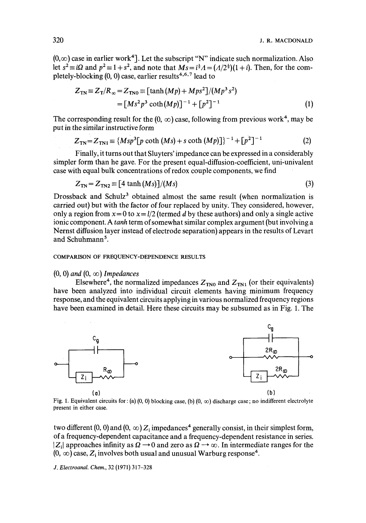$(0,\infty)$  case in earlier work<sup>4</sup>. Let the subscript "N" indicate such normalization. Also let  $s^2 = i\Omega$  and  $p^2 = 1 + s^2$ , and note that  $Ms = i^2A = (A/2^2)(1 + i)$ . Then, for the completely-blocking  $(0, 0)$  case, earlier results<sup>4,6,7</sup> lead to

$$
Z_{\text{TN}} \equiv Z_{\text{T}}/R_{\infty} = Z_{\text{TN}0} \equiv \left[ \tanh \left( Mp \right) + Mps^2 \right] / (Mp^3 s^2)
$$
  
= 
$$
\left[ Ms^2 p^3 \coth \left( Mp \right) \right]^{-1} + \left[ p^2 \right]^{-1}
$$
 (1)

The corresponding result for the  $(0, \infty)$  case, following from previous work<sup>4</sup>, may be put in the similar instructive form

$$
Z_{TN} = Z_{TN1} \equiv \{ Msp^3[p \coth(Ms) + s \coth(Mp)] \}^{-1} + [p^2]^{-1}
$$
 (2)

Finally, it turns out that Sluyters' impedance can be expressed in a considerably simpler form than he gave. For the present equal-diffusion-coefficient, uni-univalent case with equal bulk concentrations of redox couple components, we find

$$
Z_{\text{TN}} = Z_{\text{TN2}} \equiv [4 \tanh(Ms)]/(Ms) \tag{3}
$$

Drossback and Schulz<sup>3</sup> obtained almost the same result (when normalization is carried out) but with the factor of four replaced by unity. They considered, however, only a region from  $x=0$  to  $x=l/2$  (termed d by these authors) and only a single active ionic component. A *tanh* term of somewhat similar complex argument (but involving a Nernst diffusion layer instead of electrode separation) appears in the results of Levart and Schuhmann<sup>5</sup>.

### COMPARISON OF FREQUENCY-DEPENDENCE RESULTS

### $(0, 0)$  and  $(0, \infty)$  *Impedances*

Elsewhere<sup>4</sup>, the normalized impedances  $Z_{TN0}$  and  $Z_{TN1}$  (or their equivalents) have been analyzed into individual circuit elements having minimum frequency response, and the equivalent circuits applying in various normalized frequency regions have been examined in detail. Here these circuits may be subsumed as in Fig. 1. The



Fig. 1. Equivalent circuits for : (a) (0, 0) blocking case, (b) (0,  $\infty$ ) discharge case; no indifferent electrolyte present in either case.

two different  $(0, 0)$  and  $(0, \infty)$  Z<sub>i</sub> impedances<sup>4</sup> generally consist, in their simplest form, of a frequency-dependent capacitance and a frequency-dependent resistance in series.  $|Z_i|$  approaches infinity as  $\Omega \rightarrow 0$  and zero as  $\Omega \rightarrow \infty$ . In intermediate ranges for the  $(0, \infty)$  case, Z<sub>i</sub> involves both usual and unusual Warburg response<sup>4</sup>.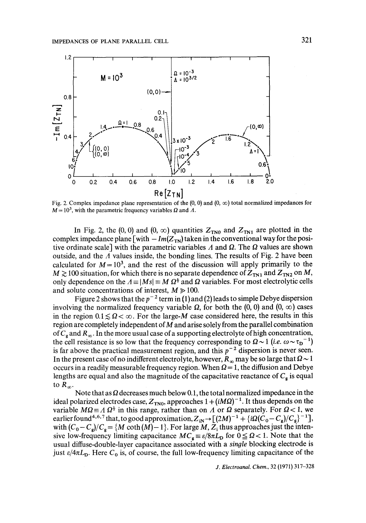

Fig. 2. Complex impedance plane representation of the  $(0, 0)$  and  $(0, \infty)$  total normalized impedances for  $M = 10<sup>3</sup>$ , with the parametric frequency variables  $\Omega$  and  $\Lambda$ .

In Fig. 2, the (0, 0) and (0,  $\infty$ ) quantities  $Z_{TNO}$  and  $Z_{TNI}$  are plotted in the complex impedance plane  $\lceil \text{with} - \text{Im}(Z_{TN}) \rceil$  taken in the conventional way for the positive ordinate scale] with the parametric variables  $\Lambda$  and  $\Omega$ . The  $\Omega$  values are shown outside, and the  $\Lambda$  values inside, the bonding lines. The results of Fig. 2 have been calculated for  $M = 10<sup>3</sup>$ , and the rest of the discussion will apply primarily to the  $M \gtrsim 100$  situation, for which there is no separate dependence of  $Z_{TN1}$  and  $Z_{TN2}$  on M, only dependence on the  $A = |Ms| \equiv M \Omega^{\frac{1}{2}}$  and  $\Omega$  variables. For most electrolytic cells and solute concentrations of interest,  $M \ge 100$ .

Figure 2 shows that the  $p^{-2}$  term in (1) and (2) leads to simple Debye dispersion involving the normalized frequency variable  $\Omega$ , for both the (0, 0) and (0,  $\infty$ ) cases in the region  $0.1 \le \Omega < \infty$ . For the large-M case considered here, the results in this region are completely independent of M and arise solely from the parallel combination of  $C_g$  and  $R_\infty$ . In the more usual case of a supporting electrolyte of high concentration, the cell resistance is so low that the frequency corresponding to  $\Omega \sim 1$  (*i.e.*  $\omega \sim \tau_D^{-1}$ ) is far above the practical measurement region, and this  $p^{-2}$  dispersion is never seen. In the present case of no indifferent electrolyte, however,  $R_{\infty}$  may be so large that  $\Omega \sim 1$ occurs in a readily measurable frequency region. When  $\Omega = 1$ , the diffusion and Debye lengths are equal and also the magnitude of the capacitative reactance of  $C_{\epsilon}$  is equal to  $R_\infty$ .

Note that as  $\Omega$  decreases much below 0.1, the total normalized impedance in the ideal polarized electrodes case,  $Z_{TNO}$ , approaches  $1 + (iM\Omega)^{-1}$ . It thus depends on the variable  $M\Omega \equiv A \Omega^{\frac{1}{2}}$  in this range, rather than on A or  $\Omega$  separately. For  $\Omega < 1$ , we earlier found<sup>4,6,7</sup> that, to good approximation,  $Z_{iN} \rightarrow [(2M)^{-1} + {i\Omega (C_0 - C_g)/C_g}^{-1}]$ , with  $(C_0 - C_s)/C_s = \{M \coth(M) - 1\}$ . For large M, Z<sub>i</sub> thus approaches just the intensive low-frequency limiting capacitance  $MC_g \equiv \varepsilon/8\pi L_p$  for  $0 \leq \Omega < 1$ . Note that the usual diffuse-double-layer capacitance associated with a *single* blocking electrode is just  $\epsilon/4\pi L_{\rm D}$ . Here C<sub>0</sub> is, of course, the full low-frequency limiting capacitance of the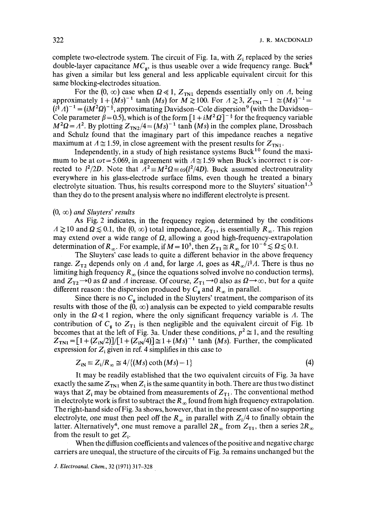complete two-electrode system. The circuit of Fig. 1a, with  $Z_i$  replaced by the series double-layer capacitance  $MC<sub>g</sub>$ , is thus useable over a wide frequency range. Buck<sup>8</sup> has given a similar but less general and less applicable equivalent circuit for this same blocking-electrodes situation.

For the  $(0, \infty)$  case when  $\Omega \ll 1$ ,  $Z_{\text{TN1}}$  depends essentially only on A, being approximately  $1 + (Ms)^{-1}$  tanh *(Ms)* for  $M \ge 100$ . For  $A \ge 3$ ,  $Z_{\text{TN1}} - 1 \ge (Ms)^{-1} =$  $(i^{\frac{1}{2}}A)^{-1} = (iM^{2}\Omega)^{-\frac{1}{2}}$ , approximating Davidson–Cole dispersion<sup>9</sup> (with the Davidson– Cole parameter  $\beta = 0.5$ ), which is of the form  $[1 + iM^2 \Omega]^{-\frac{1}{2}}$  for the frequency variable  $M^2\Omega = A^2$ . By plotting  $Z_{T N 2}/4 = (Ms)^{-1}$  tanh *(Ms)* in the complex plane, Drossbach and Schulz found that the imaginary part of this impedance reaches a negative maximum at  $A \approx 1.59$ , in close agreement with the present results for  $Z_{\text{TM}}$ .

Independently, in a study of high resistance systems Buck<sup>10</sup> found the maximum to be at  $\omega \tau = 5.069$ , in agreement with  $\Lambda \approx 1.59$  when Buck's incorrect  $\tau$  is corrected to  $l^2/2D$ . Note that  $A^2 \equiv M^2\Omega \equiv \omega(l^2/4D)$ . Buck assumed electroneutrality everywhere in his glass-electrode surface films, even though he treated a binary electrolyte situation. Thus, his results correspond more to the Sluyters' situation $1.3$ than they do to the present analysis where no indifferent electrolyte is present.

#### $(0, \infty)$  *and Sluyters' results*

As Fig. 2 indicates, in the frequency region determined by the conditions  $A \gtrsim 10$  and  $\Omega \lesssim 0.1$ , the  $(0, \infty)$  total impedance,  $Z_{T1}$ , is essentially  $R_{\infty}$ . This region may extend over a wide range of  $\Omega$ , allowing a good high-frequency-extrapolation determination of  $R_{\infty}$ . For example, if  $M= 10^5$ , then  $Z_{T1} \cong R_{\infty}$  for  $10^{-6} \lesssim \Omega \lesssim 0.1$ .

The Sluyters' case leads to quite a different behavior in the above frequency range.  $Z_{T2}$  depends only on A and, for large A, goes as  $4R_{\infty}/i^{\frac{1}{2}}A$ . There is thus no limiting high frequency  $R_\infty$  (since the equations solved involve no conduction terms), and  $Z_{T2} \rightarrow 0$  as  $\Omega$  and A increase. Of course,  $Z_{T1} \rightarrow 0$  also as  $\Omega \rightarrow \infty$ , but for a quite different reason : the dispersion produced by  $C_{\mathbf{g}}$  and  $R_{\infty}$  in parallel.

Since there is no  $C_g$  included in the Sluyters' treatment, the comparison of its results with those of the  $(0, \infty)$  analysis can be expected to yield comparable results only in the  $\Omega \ll 1$  region, where the only significant frequency variable is A. The contribution of  $C_g$  to  $Z_{T1}$  is then negligible and the equivalent circuit of Fig. 1b becomes that at the left of Fig. 3a. Under these conditions,  $p^2 \approx 1$ , and the resulting  $Z_{\text{TN1}} = [1 + (Z_{\text{iN}}/2)]/[1 + (Z_{\text{iN}}/4)] \approx 1 + (Ms)^{-1}$  tanh *(Ms)*. Further, the complicated expression for  $Z_i$  given in ref. 4 simplifies in this case to

$$
Z_{iN} \equiv Z_i/R_\infty \cong 4/\{(Ms) \coth(Ms) - 1\}
$$
 (4)

It may be readily established that the two equivalent circuits of Fig. 3a have exactly the same  $Z_{\text{TM}}$  when  $Z_i$  is the same quantity in both. There are thus two distinct ways that  $Z_i$  may be obtained from measurements of  $Z_{T1}$ . The conventional method in electrolyte work is first to subtract the  $R_\infty$  found from high frequency extrapolation. The right-hand side of Fig. 3a shows, however, that in the present case of no supporting electrolyte, one must then peel off the  $R_{\infty}$  in parallel with  $Z_i/4$  to finally obtain the latter. Alternatively<sup>4</sup>, one must remove a parallel  $2R_{\infty}$  from  $Z_{T1}$ , then a series  $2R_{\infty}$ from the result to get  $Z_i$ .

When the diffusion coefficients and valences of the positive and negative charge carriers are unequal, the structure of the circuits of Fig. 3a remains unchanged but the

*J. Electroanal. Chem.,* 32 (1971) 317-328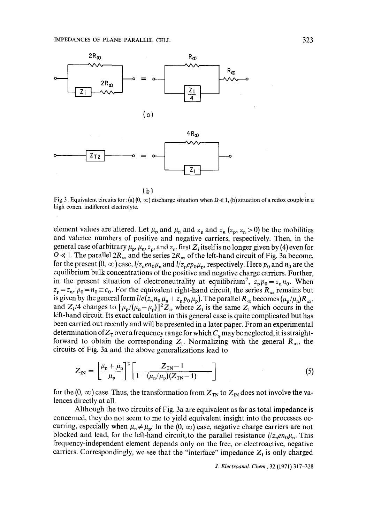

Fig. 3. Equivalent circuits for: (a) (0,  $\infty$ ) discharge situation when  $\Omega \le 1$ , (b) situation of a redox couple in a high concn, indifferent electrolyte.

element values are altered. Let  $\mu_p$  and  $\mu_n$  and  $z_p$  and  $z_n$  ( $z_p$ ,  $z_n > 0$ ) be the mobilities and valence numbers of positive and negative carriers, respectively. Then, in the general case of arbitrary  $\mu_p$ ,  $\mu_p$ ,  $z_p$ , and  $z_n$ , first  $Z_i$  itself is no longer given by (4) even for  $\Omega \ll 1$ . The parallel  $2R_{\infty}$  and the series  $2R_{\infty}$  of the left-hand circuit of Fig. 3a become, for the present  $(0, \infty)$  case,  $1/z_n en_0\mu_n$  and  $1/z_n e p_0\mu_n$ , respectively. Here  $p_0$  and  $n_0$  are the equilibrium bulk concentrations of the positive and negative charge carriers. Further, in the present situation of electroneutrality at equilibrium<sup>7</sup>,  $z_p p_0 = z_n n_0$ . When  $z_p = z_n$ ,  $p_0 = n_0 \equiv c_0$ . For the equivalent right-hand circuit, the series  $R_{\infty}$  remains but is given by the general form  $l/e$  ( $z_n n_0 \mu_n + z_p p_0 \mu_p$ ). The parallel  $R_\infty$  becomes  $(\mu_p/\mu_n)R_\infty$ , and  $Z_i/4$  changes to  $\left[\mu_p/(\mu_n+\mu_p)\right]^2Z_i$ , where  $Z_i$  is the same  $Z_i$  which occurs in the left-hand circuit. Its exact calculation in this general case is quite complicated but has been carried out recently and will be presented in a later paper. From an experimental determination of  $Z_T$  over a frequency range for which  $C_g$  may be neglected, it is straightforward to obtain the corresponding  $Z_i$ . Normalizing with the general  $R_{\infty}$ , the circuits of Fig. 3a and the above generalizations lead to

$$
Z_{iN} = \left[\frac{\mu_{p} + \mu_{n}}{\mu_{p}}\right]^{2} \left[\frac{Z_{TN} - 1}{1 - (\mu_{n}/\mu_{p})(Z_{TN} - 1)}\right]
$$
(5)

for the  $(0, \infty)$  case. Thus, the transformation from  $Z_{TN}$  to  $Z_{iN}$  does not involve the valences directly at all.

Although the two circuits of Fig. 3a are equivalent as far as total impedance is concerned, they do not seem to me to yield equivalent insight into the processes occurring, especially when  $\mu_n \neq \mu_n$ . In the  $(0, \infty)$  case, negative charge carriers are not blocked and lead, for the left-hand circuit, to the parallel resistance  $1/z_n en_0\mu_n$ . This frequency-independent element depends only on the free, or electroactive, negative carriers. Correspondingly, we see that the "interface" impedance  $Z_i$  is only charged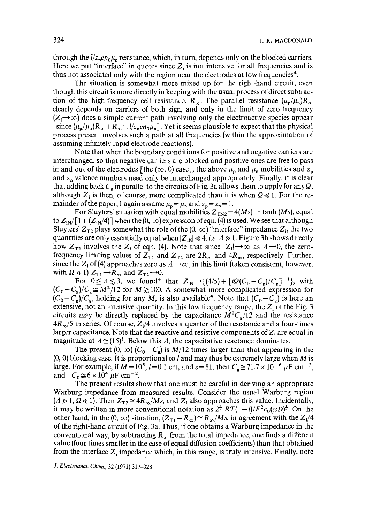through the  $\frac{l}{z_p e p_0 \mu_p}$  resistance, which, in turn, depends only on the blocked carriers. Here we put "interface" in quotes since  $Z_i$  is not intensive for all frequencies and is thus not associated only with the region near the electrodes at low frequencies<sup>4</sup>.

The situation is somewhat more mixed up for the right-hand circuit, even though this circuit is more directly in keeping with the usual process of direct subtraction of the high-frequency cell resistance,  $R_{\infty}$ . The parallel resistance  $(\mu_p/\mu_n)R_{\infty}$ clearly depends on carriers of both sign, and only in the limit of zero frequency  $(Z_i \rightarrow \infty)$  does a simple current path involving only the electroactive species appear [since  $(\mu_p/\mu_n)R_\infty + R_\infty \equiv l/z_ne n_0\mu_n$ ]. Yet it seems plausible to expect that the physical process present involves such a path at all frequencies (within the approximation of assuming infinitely rapid electrode reactions).

Note that when the boundary conditions for positive and negative carriers are interchanged, so that negative carriers are blocked and positive ones are free to pass in and out of the electrodes [the  $(\infty, 0)$  case], the above  $\mu_p$  and  $\mu_p$  mobilities and  $z_p$ and  $z_n$  valence numbers need only be interchanged appropriately. Finally, it is clear that adding back  $C_{\rm g}$  in parallel to the circuits of Fig. 3a allows them to apply for any  $\Omega$ , although  $Z_i$  is then, of course, more complicated than it is when  $\Omega \ll 1$ . For the remainder of the paper, I again assume  $\mu_p = \mu_n$  and  $z_p = z_n = 1$ .

For Sluyters' situation with equal mobilities  $Z_{TN2} = 4(Ms)^{-1}$  tanh *(Ms)*, equal to  $Z_{iN}/[1+(Z_{iN}/4)]$  when the  $(0, \infty)$  expression of eqn. (4) is used. We see that although Sluyters'  $Z_{T2}$  plays somewhat the role of the  $(0, \infty)$  "interface" impedance  $Z_i$ , the two quantities are only essentially equal when  $|Z_{in}| \le 4$ , *i.e.*  $\Lambda \ge 1$ . Figure 3b shows directly how  $Z_{T2}$  involves the  $Z_i$  of eqn. (4). Note that since  $|Z_i| \rightarrow \infty$  as  $A \rightarrow 0$ , the zerofrequency limiting values of  $Z_{T1}$  and  $Z_{T2}$  are  $2R_{\infty}$  and  $4R_{\infty}$ , respectively. Further, since the  $Z_i$  of (4) approaches zero as  $A \rightarrow \infty$ , in this limit (taken consistent, however, with  $\Omega \ll 1$ )  $Z_{T1} \rightarrow R_{\infty}$  and  $Z_{T2} \rightarrow 0$ .

For  $0 \le A \le 3$ , we found<sup>4</sup> that  $Z_{iN} \rightarrow \{(4/5) + [i\Omega(C_0 - C_g)/C_g]^{-1}\}$ , with  $(C_0 - C_g)/C_g \cong M^2/12$  for  $M \ge 100$ . A somewhat more complicated expression for  $(C_0-C_g)/C_g$ , holding for any *M*, is also available<sup>4</sup>. Note that  $(C_0-C_g)$  is here an extensive, not an intensive quantity. In this low frequency range, the  $Z_i$  of the Fig. 3 circuits may be directly replaced by the capacitance  $M^2C_g/12$  and the resistance  $4R_{\alpha}/5$  in series. Of course,  $Z_1/4$  involves a quarter of the resistance and a four-times larger capacitance. Note that the reactive and resistive components of  $Z_i$  are equal in magnitude at  $\Lambda \cong (15)^{\frac{1}{2}}$ . Below this  $\Lambda$ , the capacitative reactance dominates.

The present  $(0, \infty)$   $(C_0 - C_s)$  is  $M/12$  times larger than that appearing in the  $(0, 0)$  blocking case. It is proportional to l and may thus be extremely large when M is large. For example, if  $M= 10^5$ ,  $l=0.1$  cm, and  $\varepsilon = 81$ , then  $C_e \approx 71.7 \times 10^{-6}$   $\mu$ F cm<sup>-2</sup>, and  $C_0 \approx 6 \times 10^4 \mu F \text{ cm}^{-2}$ .

The present results show that one must be careful in deriving an appropriate Warburg impedance from measured results. Consider the usual Warburg region  $(A \ge 1, \Omega \le 1)$ . Then  $Z_{T2} \cong 4R_{\infty}/Ms$ , and  $Z_i$  also approaches this value. Incidentally, it may be written in more conventional notation as  $2^{\frac{3}{2}} RT(1-i)/F^2c_0(\omega D)^{\frac{1}{2}}$ . On the other hand, in the  $(0, \infty)$  situation,  $(Z_{T1}-R_{\infty}) \cong R_{\infty}/Ms$ , in agreement with the  $Z_i/4$ of the right-hand circuit of Fig. 3a. Thus, if one obtains a Warburg impedance in the conventional way, by subtracting  $R_{\infty}$  from the total impedance, one finds a different value (four times smaller in the case of equal diffusion coefficients) than that obtained from the interface  $Z_i$  impedance which, in this range, is truly intensive. Finally, note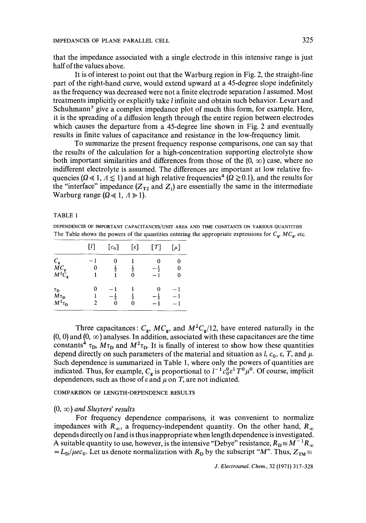that the impedance associated with a single electrode in this intensive range is just half of the values above.

It is of interest to point out that the Warburg region in Fig. 2, the straight-line part of the right-hand curve, would extend upward at a 45-degree slope indefinitely as the frequency was decreased were not a finite electrode separation I assumed. Most treatments implicitly or explicitly take I infinite and obtain such behavior. Levart and Schuhmann<sup>5</sup> give a complex impedance plot of much this form, for example. Here, it is the spreading of a diffusion length through the entire region between electrodes which causes the departure from a 45-degree line shown in Fig. 2 and eventually results in finite values of capacitance and resistance in the low-frequency limit.

To summarize the present frequency response comparisons, one can say that the results of the calculation for a high-concentration supporting electrolyte show both important similarities and differences from those of the  $(0, \infty)$  case, where no indifferent electrolyte is assumed. The differences are important at low relative frequencies ( $\Omega \ll 1, \Lambda \leq 1$ ) and at high relative frequencies<sup>4</sup> ( $\Omega \gtrsim 0.1$ ), and the results for the "interface" impedance  $(Z_{T2}$  and  $Z_i$ ) are essentially the same in the intermediate Warburg range  $(\Omega \ll 1, \Lambda \gg 1)$ .

### TABLE 1

DEPENDENCES OF IMPORTANT CAPACITANCES/UNIT AREA AND TIME CONSTANTS ON VARIOUS QUANTITIES The Table shows the powers of the quantities entering the appropriate expressions for  $C_g$ ,  $MC_g$ , etc.

|                                                                          | [1]    | $[c_0]$        | $\lceil \varepsilon \rceil$ | [T]                   | $\lbrack \mu \rbrack$ |
|--------------------------------------------------------------------------|--------|----------------|-----------------------------|-----------------------|-----------------------|
| $\begin{array}{c} C_{\rm g} \\ M C_{\rm g} \\ M^2 C_{\rm g} \end{array}$ | 0      | $\frac{1}{2}$  | $\frac{1}{2}$<br>0          | $-\frac{1}{2}$<br>— 1 | 0<br>0<br>0           |
| $\tau_{\rm D}$<br>$M\tau_D$<br>$M^2\tau_{\rm D}$                         | 0<br>2 | $-\frac{1}{2}$ | $\frac{1}{2}$<br>0          |                       | $-1$                  |

Three capacitances:  $C_{g}$ ,  $MC_{g}$ , and  $M^{2}C_{g}/12$ , have entered naturally in the  $(0, 0)$  and  $(0, \infty)$  analyses. In addition, associated with these capacitances are the time constants<sup>4</sup>  $\tau_{\rm D}$ ,  $M\tau_{\rm D}$  and  $M^2\tau_{\rm D}$ . It is finally of interest to show how these quantities depend directly on such parameters of the material and situation as l,  $c_0$ ,  $\varepsilon$ , T, and  $\mu$ . Such dependence is summarized in Table 1, where only the powers of quantities are indicated. Thus, for example,  $C_{\varrho}$  is proportional to  $l^{-1}c_0^0\epsilon^1\hat{T}^0\mu^0$ . Of course, implicit dependences, such as those of  $\varepsilon$  and  $\mu$  on T, are not indicated.

COMPARISON OF LENGTH-DEPENDENCE RESULTS

### $(0, \infty)$  *and Sluyters' results*

For frequency dependence comparisons, it was convenient to normalize impedances with  $R_{\infty}$ , a frequency-independent quantity. On the other hand,  $R_{\infty}$ depends directly on l and is thus inappropriate when length dependence is investigated. A suitable quantity to use, however, is the intensive "Debye" resistance,  $R_D \equiv M^{-1}R_\infty$  $= L_D/\mu e_0$ . Let us denote normalization with  $R_D$  by the subscript "M". Thus,  $Z_{TM} \equiv$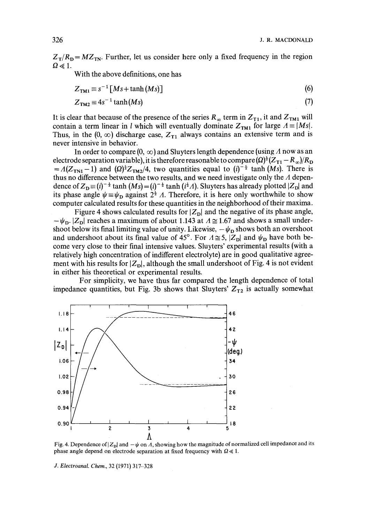$Z_T/R_p = M Z_{TN}$ . Further, let us consider here only a fixed frequency in the region  $\Omega \ll 1$ .

With the above definitions, one has

$$
Z_{\text{TM1}} \equiv s^{-1} \left[Ms + \tanh(Ms)\right] \tag{6}
$$

$$
Z_{\text{TM2}} \equiv 4s^{-1}\tanh(Ms) \tag{7}
$$

It is clear that because of the presence of the series  $R_{\infty}$  term in  $Z_{T1}$ , it and  $Z_{T1}$  will contain a term linear in *l* which will eventually dominate  $Z_{TM1}$  for large  $A \equiv |Ms|$ . Thus, in the  $(0, \infty)$  discharge case,  $Z_{T1}$  always contains an extensive term and is never intensive in behavior.

In order to compare  $(0, \infty)$  and Sluyters length dependence (using A now as an electrode separation variable), it is therefore reasonable to compare  $(\Omega)^{\frac{1}{2}}(Z_{T_1} - R_{\infty})/R_D$  $= A(Z_{\text{TM}} - 1)$  and  $\left(\Omega\right)^{\frac{1}{2}}Z_{\text{TM}}/4$ , two quantities equal to  $(i)^{-\frac{1}{2}}$  tanh *(Ms)*. There is thus no difference between the two results, and we need investigate only the  $\Lambda$  dependence of  $Z_D = (i)^{-\frac{1}{2}} \tanh (Ms) = (i)^{-\frac{1}{2}} \tanh (i^{\frac{1}{2}}A)$ . Sluyters has already plotted  $|Z_D|$  and its phase angle  $\psi = \psi_D$  against  $2^{\frac{1}{2}}$  A. Therefore, it is here only worthwhile to show computer calculated results for these quantities in the neighborhood of their maxima.

Figure 4 shows calculated results for  $|Z_{\text{D}}|$  and the negative of its phase angle,  $-\psi_{\text{D}}$ .  $|Z_{\text{D}}|$  reaches a maximum of about 1.143 at  $A \approx 1.67$  and shows a small undershoot below its final limiting value of unity. Likewise,  $-\psi_D$  shows both an overshoot and undershoot about its final value of 45°. For  $\Lambda \cong 5$ ,  $|Z_{\rm D}|$  and  $\psi_{\rm D}$  have both become very close to their final intensive values. Sluyters' experimental results (with a relatively high concentration of indifferent electrolyte) are in good qualitative agreement with his results for  $|Z_{\rm D}|$ , although the small undershoot of Fig. 4 is not evident in either his theoretical or experimental results.

For simplicity, we have thus far compared the length dependence of total impedance quantities, but Fig. 3b shows that Sluyters'  $Z_{T2}$  is actually somewhat



Fig. 4. Dependence of  $|Z_{\rm D}|$  and  $-\psi$  on A, showing how the magnitude of normalized cell impedance and its phase angle depend on electrode separation at fixed frequency with  $\Omega \ll 1$ .

*J. Electroanal. Chem.,* 32 (1971) 317-328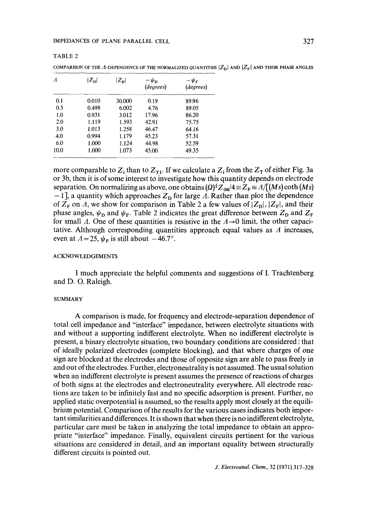#### IMPEDANCES OF PLANE PARALLEL CELL 327

TABLE 2

| $\Lambda$         | $ Z_{\rm D} $ | $ Z_{\mathbf{F}} $ | $-\psi_{\bf p}$<br>(degrees) | $-\psi_F$<br>(degrees) |
|-------------------|---------------|--------------------|------------------------------|------------------------|
| 0.1               | 0.010         | 30.000             | 0.19                         | 89.96                  |
| 0.5               | 0.498         | 6.002              | 4.76                         | 89.05                  |
| 1.0               | 0.931         | 3.012              | 17.96                        | 86.20                  |
| 2.0               | 1.119         | 1.593              | 42.91                        | 75.75                  |
| 3.0               | 1.013         | 1.258              | 46.47                        | 64.16                  |
| 4.0               | 0.994         | 1.179              | 45.23                        | 57.31                  |
| 6.0               | 1.000         | 1.124              | 44.98                        | 52.59                  |
| 10.0 <sup>°</sup> | 1.000         | 1.073              | 45.00                        | 49.35                  |

COMPARISON OF THE A-DEPENDENCE OF THE NORMALIZED QUANTITIES  $|Z_{\rm p}|$  and  $|Z_{\rm F}|$  and their phase angles

more comparable to  $Z_i$  than to  $Z_{\tau 1}$ . If we calculate a  $Z_i$  from the  $Z_{\tau}$  of either Fig. 3a or 3b, then it is of some interest to investigate how this quantity depends on *electrode*  separation. On normalizing as above, one obtains  $(\Omega)^{\frac{1}{2}}Z_{\mathbf{i}\mathbf{M}}/4 \equiv Z_{\mathbf{F}} \equiv \Lambda /[(Ms) \coth(Ms)]$  $-1$ ], a quantity which approaches  $Z<sub>D</sub>$  for large  $\Lambda$ . Rather than plot the dependence of  $Z_F$  on A, we show for comparison in Table 2 a few values of  $|Z_D|, |Z_F|$ , and their phase angles,  $\psi_D$  and  $\psi_F$ . Table 2 indicates the great difference between  $Z_D$  and  $Z_F$ for small  $\Lambda$ . One of these quantities is resistive in the  $\Lambda \rightarrow 0$  limit, the other capacitative. Although corresponding quantities approach equal values as  $\Lambda$  increases, even at  $A=25$ ,  $\psi_F$  is still about  $-46.7^\circ$ .

#### ACKNOWLEDGEMENTS

I much appreciate the helpful comments and suggestions of I. Trachtenberg and D. O. Raleigh.

#### SUMMARY

A comparison is made, for frequency and electrode-separation dependence of total cell impedance and "interface" impedance, between electrolyte situations with and without a supporting indifferent electrolyte. When no indifferent electrolyte is present, a binary electrolyte situation, two boundary conditions are considered : that of ideally polarized electrodes (complete blocking), and that where charges of one sign are blocked at the electrodes and those of opposite sign are able to pass freely in and out of the electrodes. Further, electroneutrality is not assumed. The usual solution when an indifferent electrolyte is present assumes the presence of reactions of charges of both signs at the electrodes and electroneutrality everywhere. All electrode reactions are taken to be infinitely fast and no specific adsorption is present. Further, no applied static overpotential is assumed, so the results apply most closely at the equilibrium potential. Comparison of the results for the various cases indicates both important similarities and differences. It is shown that when there is no indifferent electrolyte, particular care must be taken in analyzing the total impedance to obtain an appropriate "interface" impedance. Finally, equivalent circuits pertinent for the various situations are considered in detail, and an important equality between structurally different circuits is pointed out.